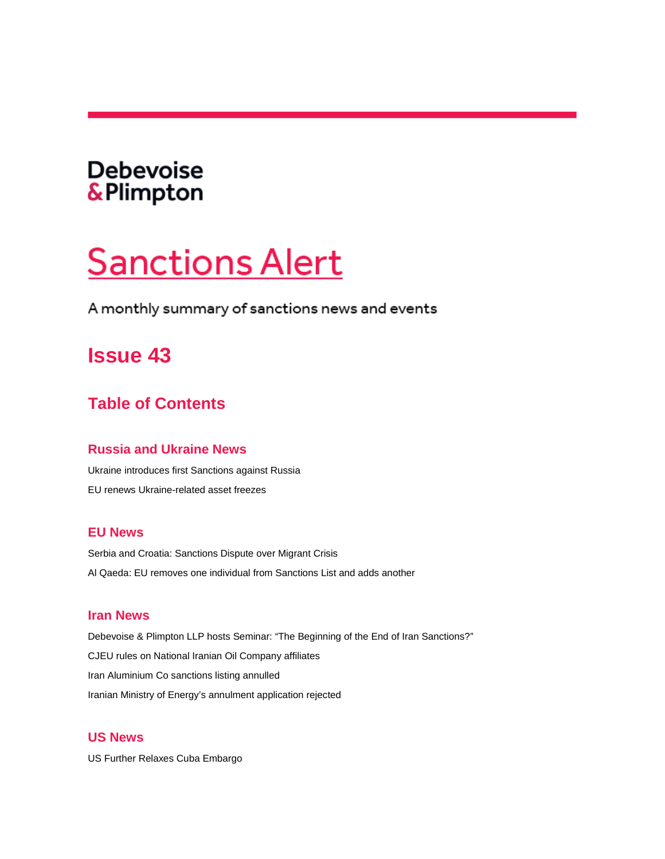# <span id="page-0-0"></span>**Debevoise** & Plimpton

# **Sanctions Alert**

A monthly summary of sanctions news and events

# **Issue 43**

# **Table of Contents**

### **[Russia and Ukraine News](#page-1-0)**

[Ukraine introduces first Sanctions against Russia](#page-1-1) [EU renews Ukraine-related asset freezes](#page-2-0)

### **[EU News](#page-2-1)**

[Serbia and Croatia: Sanctions Dispute over Migrant Crisis](#page-2-2) [Al Qaeda: EU removes one individual from Sanctions List and adds another](#page-2-3)

### **[Iran News](#page-3-0)**

[Debevoise & Plimpton LLP hosts Seminar: "The Beginning of the End of Iran Sanctions?"](#page-3-1) [CJEU rules on National Iranian Oil Company affiliates](#page-3-2) [Iran Aluminium Co sanctions listing annulled](#page-4-0) [Iranian Ministry of Energy's annulment application rejected](#page-4-1)

### **[US News](#page-5-0)**

[US Further Relaxes Cuba Embargo](#page-5-1)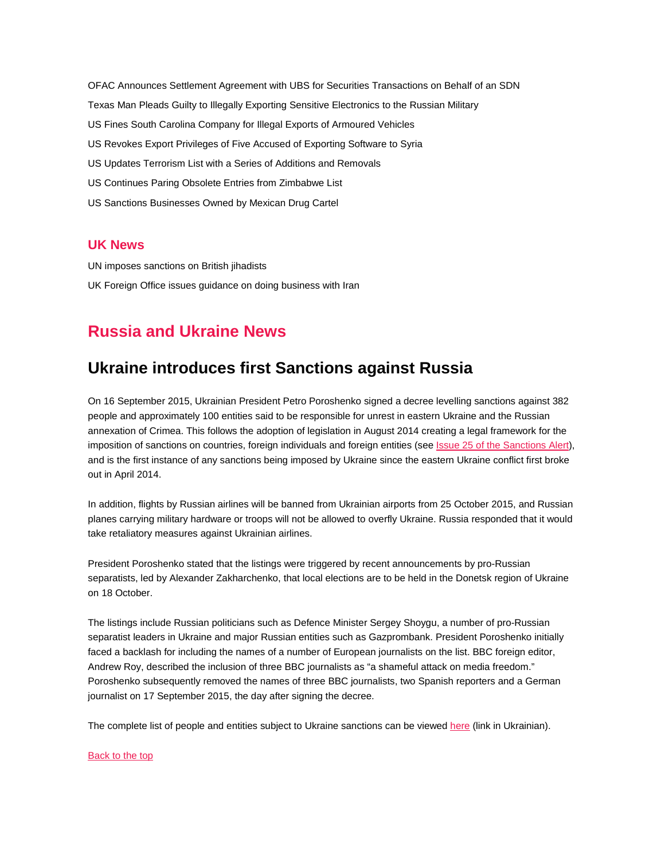[OFAC Announces Settlement Agreement with UBS for Securities Transactions on Behalf of an SDN](#page-5-2) [Texas Man Pleads Guilty to Illegally Exporting Sensitive Electronics to the Russian Military](#page-5-3) [US Fines South Carolina Company for Illegal Exports of Armoured Vehicles](#page-6-0) [US Revokes Export Privileges of Five Accused of Exporting Software to Syria](#page-6-1) [US Updates Terrorism List with a Series of Additions and Removals](#page-6-2) [US Continues Paring Obsolete Entries from Zimbabwe List](#page-7-0) [US Sanctions Businesses Owned by Mexican Drug Cartel](#page-8-0)

#### **[UK News](#page-8-1)**

[UN imposes sanctions on British jihadists](#page-8-2) [UK Foreign Office issues guidance on doing business with Iran](#page-8-3)

# <span id="page-1-0"></span>**Russia and Ukraine News**

### <span id="page-1-1"></span>**Ukraine introduces first Sanctions against Russia**

On 16 September 2015, Ukrainian President Petro Poroshenko signed a decree levelling sanctions against 382 people and approximately 100 entities said to be responsible for unrest in eastern Ukraine and the Russian annexation of Crimea. This follows the adoption of legislation in August 2014 creating a legal framework for the imposition of sanctions on countries, foreign individuals and foreign entities (see **Issue 25 of the Sanctions Alert**), and is the first instance of any sanctions being imposed by Ukraine since the eastern Ukraine conflict first broke out in April 2014.

In addition, flights by Russian airlines will be banned from Ukrainian airports from 25 October 2015, and Russian planes carrying military hardware or troops will not be allowed to overfly Ukraine. Russia responded that it would take retaliatory measures against Ukrainian airlines.

President Poroshenko stated that the listings were triggered by recent announcements by pro-Russian separatists, led by Alexander Zakharchenko, that local elections are to be held in the Donetsk region of Ukraine on 18 October.

The listings include Russian politicians such as Defence Minister Sergey Shoygu, a number of pro-Russian separatist leaders in Ukraine and major Russian entities such as Gazprombank. President Poroshenko initially faced a backlash for including the names of a number of European journalists on the list. BBC foreign editor, Andrew Roy, described the inclusion of three BBC journalists as "a shameful attack on media freedom." Poroshenko subsequently removed the names of three BBC journalists, two Spanish reporters and a German journalist on 17 September 2015, the day after signing the decree.

The complete list of people and entities subject to Ukraine sanctions can be viewe[d here](http://www.pravda.com.ua/articles/2015/09/17/7081600/) (link in Ukrainian).

#### [Back to the top](#page-0-0)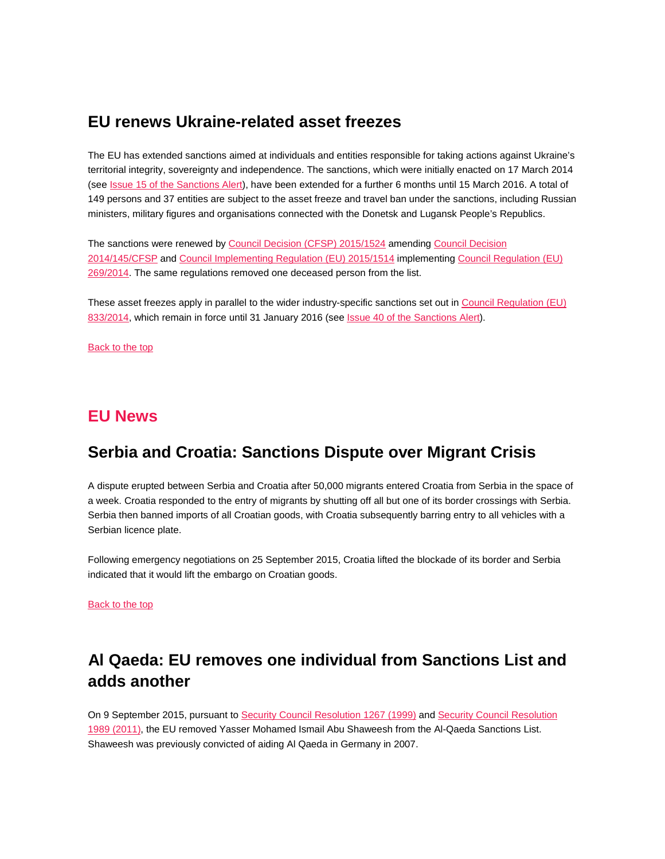# <span id="page-2-0"></span>**EU renews Ukraine-related asset freezes**

The EU has extended sanctions aimed at individuals and entities responsible for taking actions against Ukraine's territorial integrity, sovereignty and independence. The sanctions, which were initially enacted on 17 March 2014 (see [Issue 15 of the Sanctions Alert\)](http://www.debevoise.com/%7E/media/files/insights/publications/2014/03/sanctions%20alert/files/view%20sanctions%20alert%20%20issue%2015%20pdf/fileattachment/debevoise_sanctions_alert_issue_15.pdf), have been extended for a further 6 months until 15 March 2016. A total of 149 persons and 37 entities are subject to the asset freeze and travel ban under the sanctions, including Russian ministers, military figures and organisations connected with the Donetsk and Lugansk People's Republics.

The sanctions were renewed b[y Council Decision \(CFSP\) 2015/1524](http://eur-lex.europa.eu/legal-content/EN/TXT/PDF/?uri=OJ:JOL_2015_239_R_0012&from=EN) amendin[g Council Decision](http://eur-lex.europa.eu/legal-content/EN/TXT/PDF/?uri=CELEX:32014D0145&from=EN)  [2014/145/CFSP](http://eur-lex.europa.eu/legal-content/EN/TXT/PDF/?uri=CELEX:32014D0145&from=EN) and [Council Implementing Regulation \(EU\) 2015/1514](http://eur-lex.europa.eu/legal-content/EN/TXT/PDF/?uri=OJ:JOL_2015_239_R_0002&from=EN) implementin[g Council Regulation \(EU\)](http://eur-lex.europa.eu/legal-content/EN/TXT/PDF/?uri=CELEX:32014R0269&from=EN)  [269/2014.](http://eur-lex.europa.eu/legal-content/EN/TXT/PDF/?uri=CELEX:32014R0269&from=EN) The same regulations removed one deceased person from the list.

These asset freezes apply in parallel to the wider industry-specific sanctions set out in [Council Regulation \(EU\)](http://eur-lex.europa.eu/legal-content/EN/TXT/PDF/?uri=CELEX:32014R0833&from=EN)  [833/2014,](http://eur-lex.europa.eu/legal-content/EN/TXT/PDF/?uri=CELEX:32014R0833&from=EN) which remain in force until 31 January 2016 (se[e Issue 40 of the Sanctions Alert\)](http://www.debevoise.com/%7E/media/files/insights/publications/2015/07/debevoise_sanctions_alert_issue40.pdf).

[Back to the top](#page-0-0) 

### <span id="page-2-1"></span>**EU News**

# <span id="page-2-2"></span>**Serbia and Croatia: Sanctions Dispute over Migrant Crisis**

A dispute erupted between Serbia and Croatia after 50,000 migrants entered Croatia from Serbia in the space of a week. Croatia responded to the entry of migrants by shutting off all but one of its border crossings with Serbia. Serbia then banned imports of all Croatian goods, with Croatia subsequently barring entry to all vehicles with a Serbian licence plate.

Following emergency negotiations on 25 September 2015, Croatia lifted the blockade of its border and Serbia indicated that it would lift the embargo on Croatian goods.

[Back to the top](#page-0-0) 

# <span id="page-2-3"></span>**Al Qaeda: EU removes one individual from Sanctions List and adds another**

On 9 September 2015, pursuant to [Security Council Resolution 1267 \(1999\)](http://www.un.org/ga/search/view_doc.asp?symbol=S/RES/1267(1999)) and [Security Council Resolution](http://www.un.org/ga/search/view_doc.asp?symbol=S/RES/1989(2011))  [1989 \(2011\),](http://www.un.org/ga/search/view_doc.asp?symbol=S/RES/1989(2011)) the EU removed Yasser Mohamed Ismail Abu Shaweesh from the Al-Qaeda Sanctions List. Shaweesh was previously convicted of aiding Al Qaeda in Germany in 2007.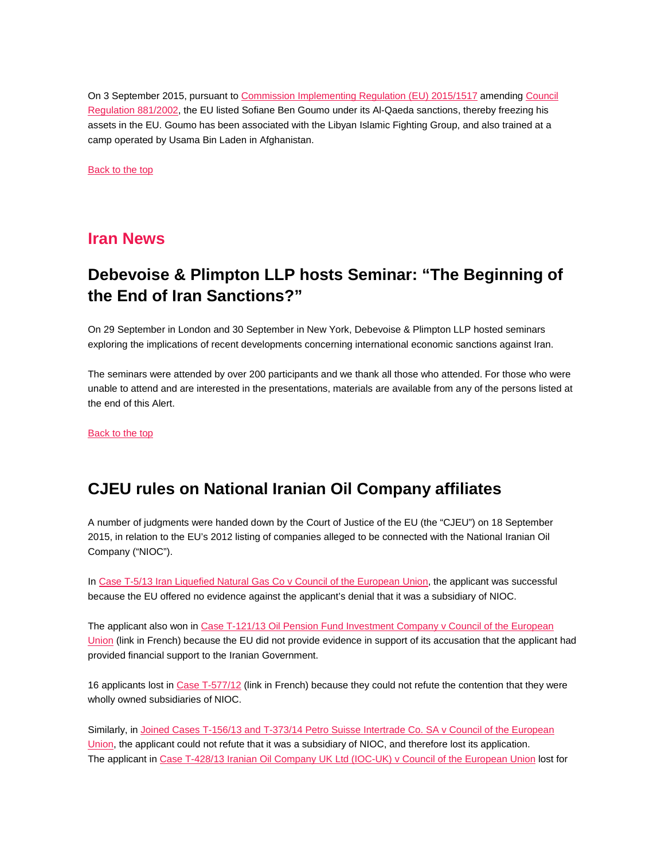On 3 September 2015, pursuant to [Commission Implementing Regulation \(EU\) 2015/1517](http://eur-lex.europa.eu/legal-content/EN/TXT/PDF/?uri=OJ:JOL_2015_239_R_0005&from=EN) amending [Council](http://eur-lex.europa.eu/legal-content/EN/TXT/PDF/?uri=CELEX:32002R0881&from=EN)  [Regulation 881/2002,](http://eur-lex.europa.eu/legal-content/EN/TXT/PDF/?uri=CELEX:32002R0881&from=EN) the EU listed Sofiane Ben Goumo under its Al-Qaeda sanctions, thereby freezing his assets in the EU. Goumo has been associated with the Libyan Islamic Fighting Group, and also trained at a camp operated by Usama Bin Laden in Afghanistan.

Back [to the top](#page-0-0) 

### <span id="page-3-0"></span>**Iran News**

# <span id="page-3-1"></span>**Debevoise & Plimpton LLP hosts Seminar: "The Beginning of the End of Iran Sanctions?"**

On 29 September in London and 30 September in New York, Debevoise & Plimpton LLP hosted seminars exploring the implications of recent developments concerning international economic sanctions against Iran.

The seminars were attended by over 200 participants and we thank all those who attended. For those who were unable to attend and are interested in the presentations, materials are available from any of the persons listed at the end of this Alert.

[Back to the top](#page-0-0) 

# <span id="page-3-2"></span>**CJEU rules on National Iranian Oil Company affiliates**

A number of judgments were handed down by the Court of Justice of the EU (the "CJEU") on 18 September 2015, in relation to the EU's 2012 listing of companies alleged to be connected with the National Iranian Oil Company ("NIOC").

In [Case T-5/13 Iran Liquefied Natural Gas Co v Council of the European Union,](http://curia.europa.eu/juris/document/document.jsf?text=&docid=168061&pageIndex=0&doclang=EN&mode=lst&dir=&occ=first&part=1&cid=132031) the applicant was successful because the EU offered no evidence against the applicant's denial that it was a subsidiary of NIOC.

The applicant also won in [Case T-121/13 Oil Pension Fund Investment Company v Council of](http://curia.europa.eu/juris/document/document.jsf?text=&docid=168065&pageIndex=0&doclang=FR&mode=lst&dir=&occ=first&part=1&cid=132388) the European [Union](http://curia.europa.eu/juris/document/document.jsf?text=&docid=168065&pageIndex=0&doclang=FR&mode=lst&dir=&occ=first&part=1&cid=132388) (link in French) because the EU did not provide evidence in support of its accusation that the applicant had provided financial support to the Iranian Government.

16 applicants lost i[n Case T-577/12](http://curia.europa.eu/juris/document/document.jsf?text=&docid=167003&pageIndex=0&doclang=FR&mode=lst&dir=&occ=first&part=1&cid=132462) (link in French) because they could not refute the contention that they were wholly owned subsidiaries of NIOC.

Similarly, i[n Joined Cases T-156/13 and T-373/14 Petro Suisse Intertrade Co. SA v Council of the European](http://curia.europa.eu/juris/document/document.jsf?text=&docid=168069&pageIndex=0&doclang=EN&mode=lst&dir=&occ=first&part=1&cid=132182)  [Union,](http://curia.europa.eu/juris/document/document.jsf?text=&docid=168069&pageIndex=0&doclang=EN&mode=lst&dir=&occ=first&part=1&cid=132182) the applicant could not refute that it was a subsidiary of NIOC, and therefore lost its application. The applicant in [Case T-428/13 Iranian Oil Company UK Ltd \(IOC-UK\) v Council of the European Union](http://curia.europa.eu/juris/document/document.jsf?text=&docid=168067&pageIndex=0&doclang=EN&mode=lst&dir=&occ=first&part=1&cid=132265) lost for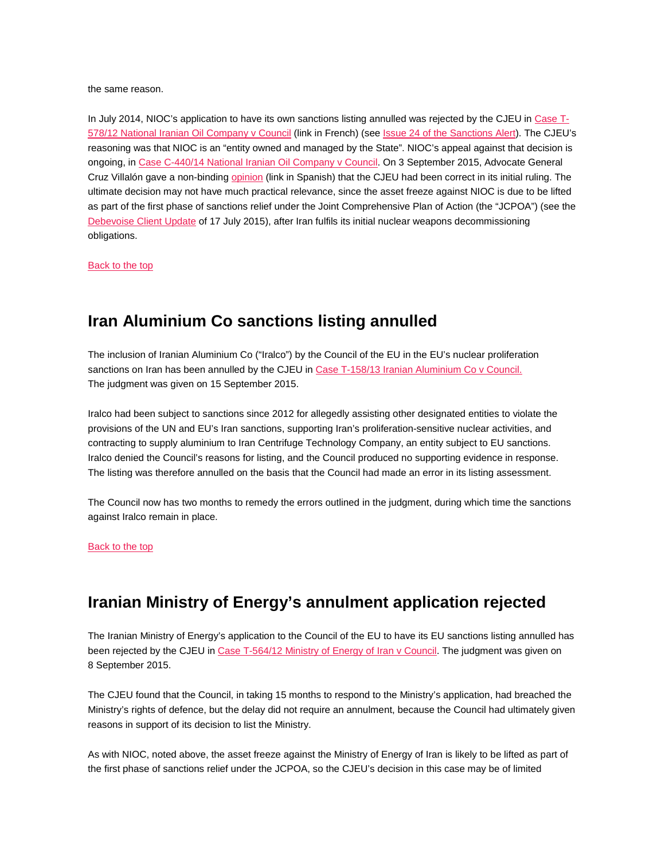the same reason.

In July 2014, NIOC's application to have its own sanctions listing annulled was rejected by the CJEU in [Case T-](http://curia.europa.eu/juris/document/document.jsf?text=&docid=155067&pageIndex=0&doclang=FR&mode=lst&dir=&occ=first&part=1&cid=378855)[578/12 National Iranian Oil Company v Council](http://curia.europa.eu/juris/document/document.jsf?text=&docid=155067&pageIndex=0&doclang=FR&mode=lst&dir=&occ=first&part=1&cid=378855) (link in French) (se[e Issue 24 of the Sanctions Alert\)](http://www.debevoise.com/%7E/media/files/insights/publications/2014/08/sanctions_alert_issue_24a.pdf). The CJEU's reasoning was that NIOC is an "entity owned and managed by the State". NIOC's appeal against that decision is ongoing, i[n Case C-440/14 National Iranian Oil Company v Council.](http://curia.europa.eu/juris/fiche.jsf;jsessionid=9ea7d0f130d50e7e5f3453b042a989c2976b848282c6.e34KaxiLc3eQc40LaxqMbN4ObNqRe0?id=C%3B440%3B14%3BPV%3B1%3BP%3B1%3BC2014%2F0440%2FP&pro=&lgrec=en&nat=or&oqp=&dates=&lg=&language=en&jur=C%2CT%2CF&cit=none%252CC%252CCJ%252CR%252C2008E%252C%252C%252C%252C%252C%252C%252C%252C%252C%252Ctrue%252Cfalse%252Cfalse&num=C-440%252F14&td=%3BALL&pcs=Oor&avg=&mat=or&jge=&for=&cid=131485) On 3 September 2015, Advocate General Cruz Villalón gave a non-binding [opinion](http://curia.europa.eu/juris/document/document.jsf?text=&docid=166861&pageIndex=0&doclang=ES&mode=lst&dir=&occ=first&part=1&cid=131485) (link in Spanish) that the CJEU had been correct in its initial ruling. The ultimate decision may not have much practical relevance, since the asset freeze against NIOC is due to be lifted as part of the first phase of sanctions relief under the Joint Comprehensive Plan of Action (the "JCPOA") (see the [Debevoise Client Update](http://www.debevoise.com/%7E/media/files/insights/publications/2015/07/07172015_iran_nuclear_sanctions_deal_reached.pdf) of 17 July 2015), after Iran fulfils its initial nuclear weapons decommissioning obligations.

[Back to the top](#page-0-0) 

# <span id="page-4-0"></span>**Iran Aluminium Co sanctions listing annulled**

The inclusion of Iranian Aluminium Co ("Iralco") by the Council of the EU in the EU's nuclear proliferation sanctions on Iran has been annulled by the CJEU i[n Case T-158/13 Iranian Aluminium Co v Council.](http://curia.europa.eu/juris/document/document.jsf;jsessionid=9ea7d2dc30dd606d1d45b7ff4570bd49dc011158a84e.e34KaxiLc3qMb40Rch0SaxuRaxn0?text=&docid=167642&pageIndex=0&doclang=EN&mode=lst&dir=&occ=first&part=1&cid=981185)  The judgment was given on 15 September 2015.

Iralco had been subject to sanctions since 2012 for allegedly assisting other designated entities to violate the provisions of the UN and EU's Iran sanctions, supporting Iran's proliferation-sensitive nuclear activities, and contracting to supply aluminium to Iran Centrifuge Technology Company, an entity subject to EU sanctions. Iralco denied the Council's reasons for listing, and the Council produced no supporting evidence in response. The listing was therefore annulled on the basis that the Council had made an error in its listing assessment.

The Council now has two months to remedy the errors outlined in the judgment, during which time the sanctions against Iralco remain in place.

#### [Back to the top](#page-0-0)

# <span id="page-4-1"></span>**Iranian Ministry of Energy's annulment application rejected**

The Iranian Ministry of Energy's application to the Council of the EU to have its EU sanctions listing annulled has been rejected by the CJEU i[n Case T-564/12 Ministry of Energy of Iran v Council.](http://curia.europa.eu/juris/document/document.jsf?text=&docid=167101&pageIndex=0&doclang=EN&mode=lst&dir=&occ=first&part=1&cid=29981) The judgment was given on 8 September 2015.

The CJEU found that the Council, in taking 15 months to respond to the Ministry's application, had breached the Ministry's rights of defence, but the delay did not require an annulment, because the Council had ultimately given reasons in support of its decision to list the Ministry.

As with NIOC, noted above, the asset freeze against the Ministry of Energy of Iran is likely to be lifted as part of the first phase of sanctions relief under the JCPOA, so the CJEU's decision in this case may be of limited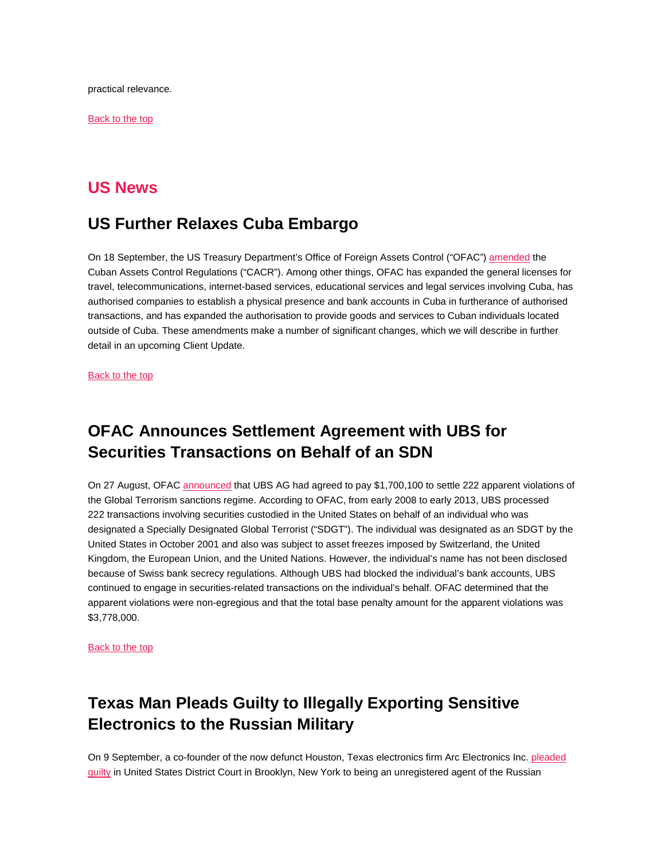practical relevance.

[Back to the top](#page-0-0) 

### <span id="page-5-0"></span>**US News**

### <span id="page-5-1"></span>**US Further Relaxes Cuba Embargo**

On 18 September, the US Treasury Department's Office of Foreign Assets Control ("OFAC"[\) amended](http://www.treasury.gov/resource-center/sanctions/OFAC-Enforcement/Pages/20150918.aspx) the Cuban Assets Control Regulations ("CACR"). Among other things, OFAC has expanded the general licenses for travel, telecommunications, internet-based services, educational services and legal services involving Cuba, has authorised companies to establish a physical presence and bank accounts in Cuba in furtherance of authorised transactions, and has expanded the authorisation to provide goods and services to Cuban individuals located outside of Cuba. These amendments make a number of significant changes, which we will describe in further detail in an upcoming Client Update.

[Back to the top](#page-0-0) 

# <span id="page-5-2"></span>**OFAC Announces Settlement Agreement with UBS for Securities Transactions on Behalf of an SDN**

On 27 August, OFA[C announced](http://www.treasury.gov/resource-center/sanctions/OFAC-Enforcement/Pages/20150827_33.aspx) that UBS AG had agreed to pay \$1,700,100 to settle 222 apparent violations of the Global Terrorism sanctions regime. According to OFAC, from early 2008 to early 2013, UBS processed 222 transactions involving securities custodied in the United States on behalf of an individual who was designated a Specially Designated Global Terrorist ("SDGT"). The individual was designated as an SDGT by the United States in October 2001 and also was subject to asset freezes imposed by Switzerland, the United Kingdom, the European Union, and the United Nations. However, the individual's name has not been disclosed because of Swiss bank secrecy regulations. Although UBS had blocked the individual's bank accounts, UBS continued to engage in securities-related transactions on the individual's behalf. OFAC determined that the apparent violations were non-egregious and that the total base penalty amount for the apparent violations was \$3,778,000.

[Back to the top](#page-0-0) 

# <span id="page-5-3"></span>**Texas Man Pleads Guilty to Illegally Exporting Sensitive Electronics to the Russian Military**

On 9 September, a co-founder of the now defunct Houston, Texas electronics firm Arc Electronics Inc. pleaded [guilty](https://www.fbi.gov/newyork/press-releases/2015/russian-agent-pleads-guilty-to-leading-scheme-to-illegally-export-controlled-technology-to-the-russian-military) in United States District Court in Brooklyn, New York to being an unregistered agent of the Russian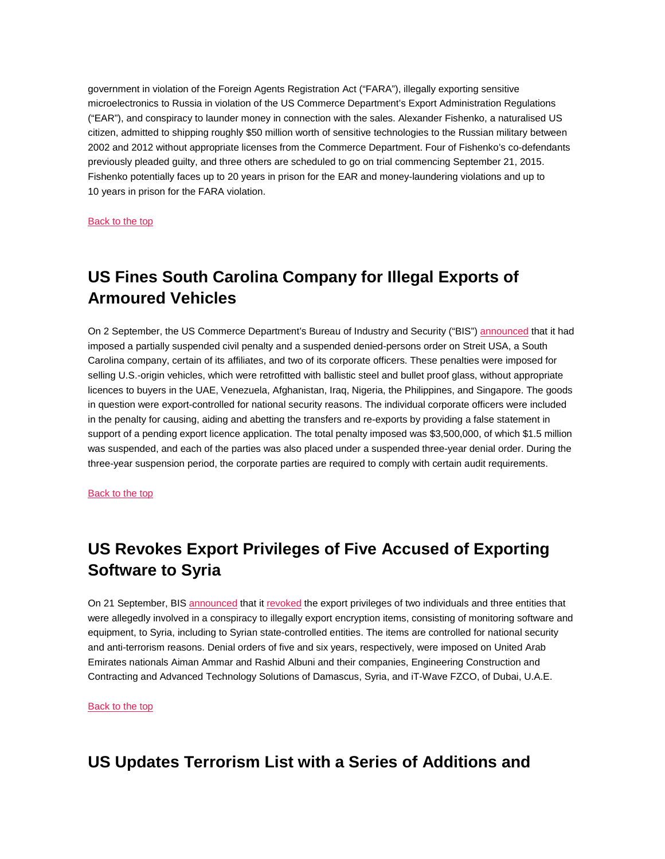government in violation of the Foreign Agents Registration Act ("FARA"), illegally exporting sensitive microelectronics to Russia in violation of the US Commerce Department's Export Administration Regulations ("EAR"), and conspiracy to launder money in connection with the sales. Alexander Fishenko, a naturalised US citizen, admitted to shipping roughly \$50 million worth of sensitive technologies to the Russian military between 2002 and 2012 without appropriate licenses from the Commerce Department. Four of Fishenko's co-defendants previously pleaded guilty, and three others are scheduled to go on trial commencing September 21, 2015. Fishenko potentially faces up to 20 years in prison for the EAR and money-laundering violations and up to 10 years in prison for the FARA violation.

[Back to the top](#page-0-0) 

# <span id="page-6-0"></span>**US Fines South Carolina Company for Illegal Exports of Armoured Vehicles**

On 2 September, the US Commerce Department's Bureau of Industry and Security ("BIS") [announced](https://www.bis.doc.gov/index.php/forms-documents/doc_download/1288-streit-press-release-final) that it had imposed a partially suspended civil penalty and a suspended denied-persons order on Streit USA, a South Carolina company, certain of its affiliates, and two of its corporate officers. These penalties were imposed for selling U.S.-origin vehicles, which were retrofitted with ballistic steel and bullet proof glass, without appropriate licences to buyers in the UAE, Venezuela, Afghanistan, Iraq, Nigeria, the Philippines, and Singapore. The goods in question were export-controlled for national security reasons. The individual corporate officers were included in the penalty for causing, aiding and abetting the transfers and re-exports by providing a false statement in support of a pending export licence application. The total penalty imposed was \$3,500,000, of which \$1.5 million was suspended, and each of the parties was also placed under a suspended three-year denial order. During the three-year suspension period, the corporate parties are required to comply with certain audit requirements.

[Back to the top](#page-0-0) 

# <span id="page-6-1"></span>**US Revokes Export Privileges of Five Accused of Exporting Software to Syria**

On 21 September, BIS [announced](https://www.bis.doc.gov/index.php/forms-documents/doc_download/1296-ammar-albuni) that i[t revoked](https://www.bis.doc.gov/index.php/forms-documents/doc_download/1297-ammar-albuni-final-order) the export privileges of two individuals and three entities that were allegedly involved in a conspiracy to illegally export encryption items, consisting of monitoring software and equipment, to Syria, including to Syrian state-controlled entities. The items are controlled for national security and anti-terrorism reasons. Denial orders of five and six years, respectively, were imposed on United Arab Emirates nationals Aiman Ammar and Rashid Albuni and their companies, Engineering Construction and Contracting and Advanced Technology Solutions of Damascus, Syria, and iT-Wave FZCO, of Dubai, U.A.E.

[Back to the top](#page-0-0) 

# <span id="page-6-2"></span>**US Updates Terrorism List with a Series of Additions and**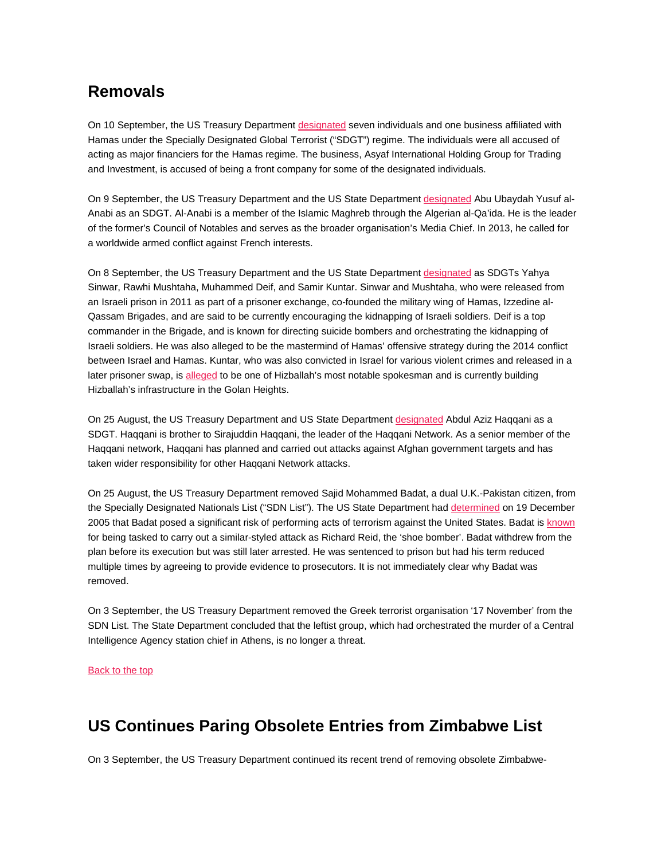# **Removals**

On 10 September, the US Treasury Departmen[t designated](http://www.treasury.gov/press-center/press-releases/Pages/jl0159.aspx) seven individuals and one business affiliated with Hamas under the Specially Designated Global Terrorist ("SDGT") regime. The individuals were all accused of acting as major financiers for the Hamas regime. The business, Asyaf International Holding Group for Trading and Investment, is accused of being a front company for some of the designated individuals.

On 9 September, the US Treasury Department and the US State Department [designated](http://www.state.gov/r/pa/prs/ps/2015/09/246716.htm) Abu Ubaydah Yusuf al-Anabi as an SDGT. Al-Anabi is a member of the Islamic Maghreb through the Algerian al-Qa'ida. He is the leader of the former's Council of Notables and serves as the broader organisation's Media Chief. In 2013, he called for a worldwide armed conflict against French interests.

On 8 September, the US Treasury Department and the US State Department [designated](http://www.state.gov/r/pa/prs/ps/2015/09/246686.htm) as SDGTs Yahya Sinwar, Rawhi Mushtaha, Muhammed Deif, and Samir Kuntar. Sinwar and Mushtaha, who were released from an Israeli prison in 2011 as part of a prisoner exchange, co-founded the military wing of Hamas, Izzedine al-Qassam Brigades, and are said to be currently encouraging the kidnapping of Israeli soldiers. Deif is a top commander in the Brigade, and is known for directing suicide bombers and orchestrating the kidnapping of Israeli soldiers. He was also alleged to be the mastermind of Hamas' offensive strategy during the 2014 conflict between Israel and Hamas. Kuntar, who was also convicted in Israel for various violent crimes and released in a later prisoner swap, is [alleged](http://www.state.gov/r/pa/prs/ps/2015/09/246687.htm) to be one of Hizballah's most notable spokesman and is currently building Hizballah's infrastructure in the Golan Heights.

On 25 August, the US Treasury Department and US State Department [designated](http://www.state.gov/r/pa/prs/ps/2015/08/246335.htm) Abdul Aziz Haqqani as a SDGT. Haqqani is brother to Sirajuddin Haqqani, the leader of the Haqqani Network. As a senior member of the Haqqani network, Haqqani has planned and carried out attacks against Afghan government targets and has taken wider responsibility for other Haqqani Network attacks.

On 25 August, the US Treasury Department removed Sajid Mohammed Badat, a dual U.K.-Pakistan citizen, from the Specially Designated Nationals List ("SDN List"). The US State Department had [determined](http://www.state.gov/j/ct/rls/other/des/58253.htm) on 19 December 2005 that Badat posed a significant risk of performing acts of terrorism against the United States. Badat i[s known](http://www.telegraph.co.uk/news/uknews/terrorism-in-the-uk/9207088/Saajid-Badat-walking-angel-who-became-a-terrorist.html) for being tasked to carry out a similar-styled attack as Richard Reid, the 'shoe bomber'. Badat withdrew from the plan before its execution but was still later arrested. He was sentenced to prison but had his term reduced multiple times by agreeing to provide evidence to prosecutors. It is not immediately clear why Badat was removed.

On 3 September, the US Treasury Department removed the Greek terrorist organisation '17 November' from the SDN List. The State Department concluded that the leftist group, which had orchestrated the murder of a Central Intelligence Agency station chief in Athens, is no longer a threat.

#### [Back to the top](#page-0-0)

# <span id="page-7-0"></span>**US Continues Paring Obsolete Entries from Zimbabwe List**

On 3 September, the US Treasury Department continued its recent trend of removing obsolete Zimbabwe-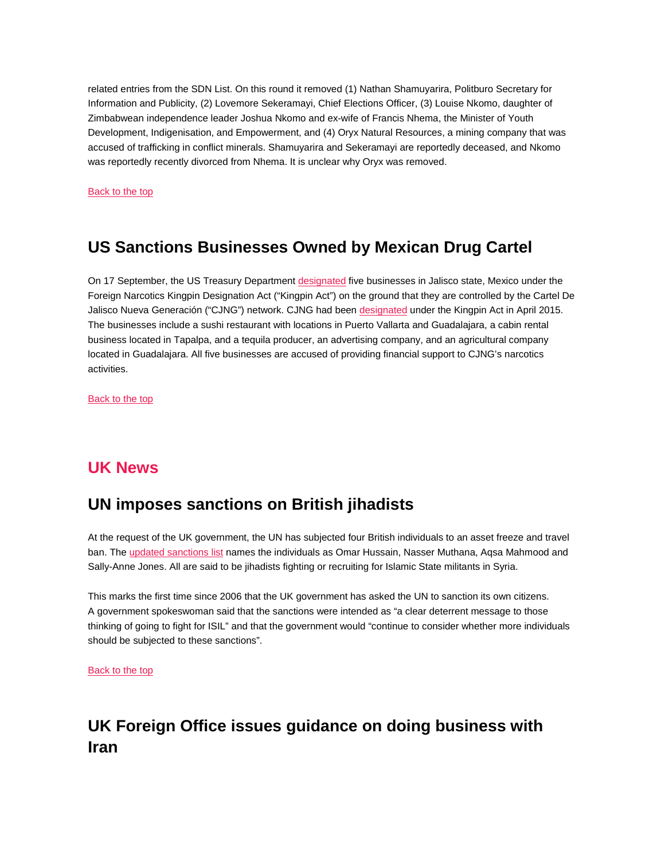related entries from the SDN List. On this round it removed (1) Nathan Shamuyarira, Politburo Secretary for Information and Publicity, (2) Lovemore Sekeramayi, Chief Elections Officer, (3) Louise Nkomo, daughter of Zimbabwean independence leader Joshua Nkomo and ex-wife of Francis Nhema, the Minister of Youth Development, Indigenisation, and Empowerment, and (4) Oryx Natural Resources, a mining company that was accused of trafficking in conflict minerals. Shamuyarira and Sekeramayi are reportedly deceased, and Nkomo was reportedly recently divorced from Nhema. It is unclear why Oryx was removed.

[Back to the top](#page-0-0) 

# <span id="page-8-0"></span>**US Sanctions Businesses Owned by Mexican Drug Cartel**

On 17 September, the US Treasury Departmen[t designated](http://www.treasury.gov/press-center/press-releases/Pages/jl0168.aspx) five businesses in Jalisco state, Mexico under the Foreign Narcotics Kingpin Designation Act ("Kingpin Act") on the ground that they are controlled by the Cartel De Jalisco Nueva Generación ("CJNG") network. CJNG had been [designated](http://www.treasury.gov/press-center/press-releases/Pages/jl10020.aspx) under the Kingpin Act in April 2015. The businesses include a sushi restaurant with locations in Puerto Vallarta and Guadalajara, a cabin rental business located in Tapalpa, and a tequila producer, an advertising company, and an agricultural company located in Guadalajara. All five businesses are accused of providing financial support to CJNG's narcotics activities.

[Back to the top](#page-0-0) 

### <span id="page-8-1"></span>**UK News**

### <span id="page-8-2"></span>**UN imposes sanctions on British jihadists**

At the request of the UK government, the UN has subjected four British individuals to an asset freeze and travel ban. The [updated sanctions list](http://www.un.org/sc/committees/1267/1267.pdf) names the individuals as Omar Hussain, Nasser Muthana, Aqsa Mahmood and Sally-Anne Jones. All are said to be jihadists fighting or recruiting for Islamic State militants in Syria.

This marks the first time since 2006 that the UK government has asked the UN to sanction its own citizens. A government spokeswoman said that the sanctions were intended as "a clear deterrent message to those thinking of going to fight for ISIL" and that the government would "continue to consider whether more individuals should be subjected to these sanctions".

[Back to the top](#page-0-0) 

# <span id="page-8-3"></span>**UK Foreign Office issues guidance on doing business with Iran**